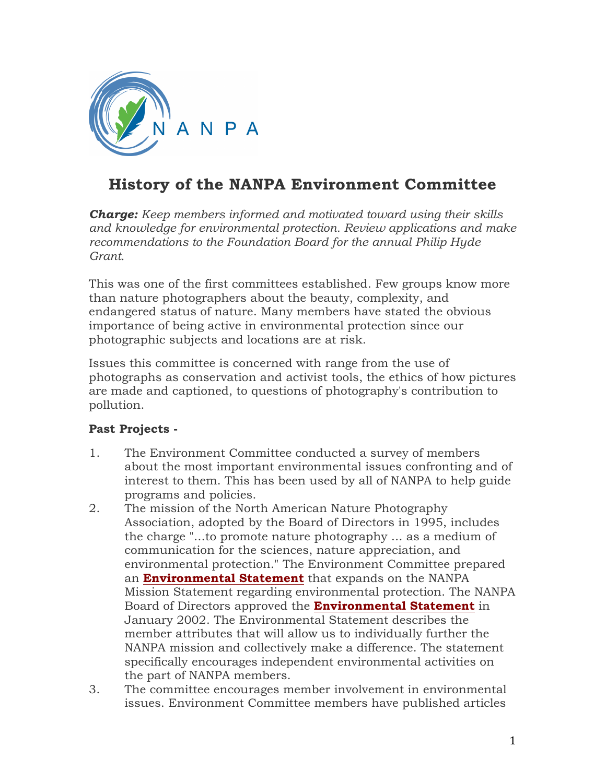

## **History of the NANPA Environment Committee**

*Charge: Keep members informed and motivated toward using their skills and knowledge for environmental protection. Review applications and make recommendations to the Foundation Board for the annual Philip Hyde Grant.*

This was one of the first committees established. Few groups know more than nature photographers about the beauty, complexity, and endangered status of nature. Many members have stated the obvious importance of being active in environmental protection since our photographic subjects and locations are at risk.

Issues this committee is concerned with range from the use of photographs as conservation and activist tools, the ethics of how pictures are made and captioned, to questions of photography's contribution to pollution.

## **Past Projects -**

- 1. The Environment Committee conducted a survey of members about the most important environmental issues confronting and of interest to them. This has been used by all of NANPA to help guide programs and policies.
- 2. The mission of the North American Nature Photography Association, adopted by the Board of Directors in 1995, includes the charge "...to promote nature photography ... as a medium of communication for the sciences, nature appreciation, and environmental protection." The Environment Committee prepared an **Environmental Statement** that expands on the NANPA Mission Statement regarding environmental protection. The NANPA Board of Directors approved the **Environmental Statement** in January 2002. The Environmental Statement describes the member attributes that will allow us to individually further the NANPA mission and collectively make a difference. The statement specifically encourages independent environmental activities on the part of NANPA members.
- 3. The committee encourages member involvement in environmental issues. Environment Committee members have published articles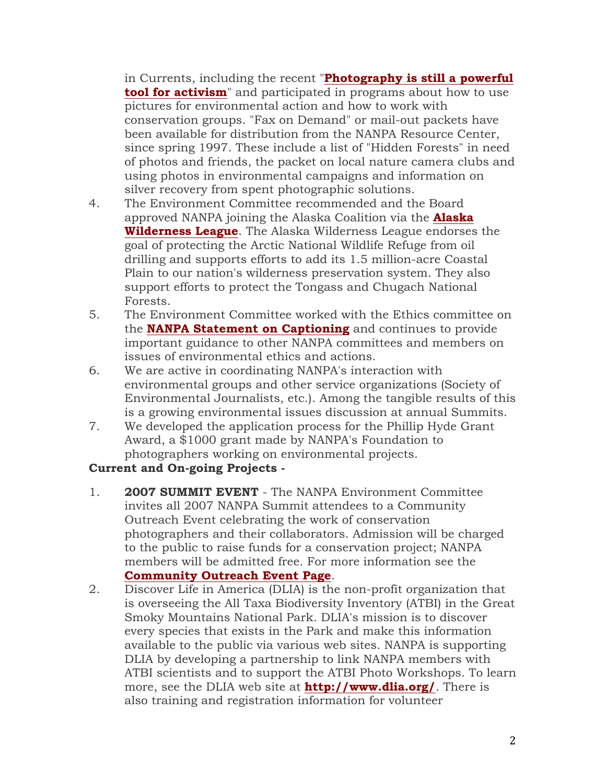in Currents, including the recent "**Photography is still a powerful tool for activism**" and participated in programs about how to use pictures for environmental action and how to work with conservation groups. "Fax on Demand" or mail-out packets have been available for distribution from the NANPA Resource Center, since spring 1997. These include a list of "Hidden Forests" in need of photos and friends, the packet on local nature camera clubs and using photos in environmental campaigns and information on silver recovery from spent photographic solutions.

- 4. The Environment Committee recommended and the Board approved NANPA joining the Alaska Coalition via the **Alaska Wilderness League**. The Alaska Wilderness League endorses the goal of protecting the Arctic National Wildlife Refuge from oil drilling and supports efforts to add its 1.5 million-acre Coastal Plain to our nation's wilderness preservation system. They also support efforts to protect the Tongass and Chugach National Forests.
- 5. The Environment Committee worked with the Ethics committee on the **NANPA Statement on Captioning** and continues to provide important guidance to other NANPA committees and members on issues of environmental ethics and actions.
- 6. We are active in coordinating NANPA's interaction with environmental groups and other service organizations (Society of Environmental Journalists, etc.). Among the tangible results of this is a growing environmental issues discussion at annual Summits.
- 7. We developed the application process for the Phillip Hyde Grant Award, a \$1000 grant made by NANPA's Foundation to photographers working on environmental projects.

## **Current and On-going Projects -**

- 1. **2007 SUMMIT EVENT** The NANPA Environment Committee invites all 2007 NANPA Summit attendees to a Community Outreach Event celebrating the work of conservation photographers and their collaborators. Admission will be charged to the public to raise funds for a conservation project; NANPA members will be admitted free. For more information see the **Community Outreach Event Page**.
- 2. Discover Life in America (DLIA) is the non-profit organization that is overseeing the All Taxa Biodiversity Inventory (ATBI) in the Great Smoky Mountains National Park. DLIA's mission is to discover every species that exists in the Park and make this information available to the public via various web sites. NANPA is supporting DLIA by developing a partnership to link NANPA members with ATBI scientists and to support the ATBI Photo Workshops. To learn more, see the DLIA web site at **http://www.dlia.org/**. There is also training and registration information for volunteer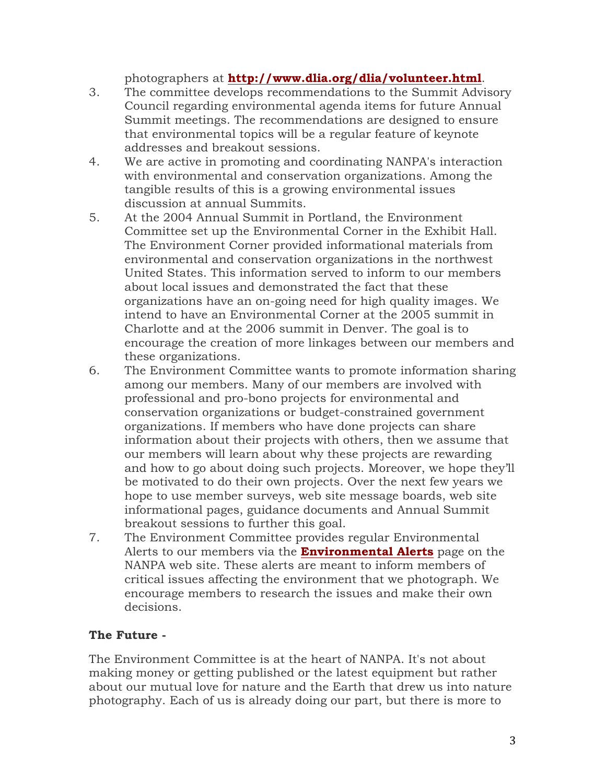photographers at **http://www.dlia.org/dlia/volunteer.html**.

- 3. The committee develops recommendations to the Summit Advisory Council regarding environmental agenda items for future Annual Summit meetings. The recommendations are designed to ensure that environmental topics will be a regular feature of keynote addresses and breakout sessions.
- 4. We are active in promoting and coordinating NANPA's interaction with environmental and conservation organizations. Among the tangible results of this is a growing environmental issues discussion at annual Summits.
- 5. At the 2004 Annual Summit in Portland, the Environment Committee set up the Environmental Corner in the Exhibit Hall. The Environment Corner provided informational materials from environmental and conservation organizations in the northwest United States. This information served to inform to our members about local issues and demonstrated the fact that these organizations have an on-going need for high quality images. We intend to have an Environmental Corner at the 2005 summit in Charlotte and at the 2006 summit in Denver. The goal is to encourage the creation of more linkages between our members and these organizations.
- 6. The Environment Committee wants to promote information sharing among our members. Many of our members are involved with professional and pro-bono projects for environmental and conservation organizations or budget-constrained government organizations. If members who have done projects can share information about their projects with others, then we assume that our members will learn about why these projects are rewarding and how to go about doing such projects. Moreover, we hope they'll be motivated to do their own projects. Over the next few years we hope to use member surveys, web site message boards, web site informational pages, guidance documents and Annual Summit breakout sessions to further this goal.
- 7. The Environment Committee provides regular Environmental Alerts to our members via the **Environmental Alerts** page on the NANPA web site. These alerts are meant to inform members of critical issues affecting the environment that we photograph. We encourage members to research the issues and make their own decisions.

## **The Future -**

The Environment Committee is at the heart of NANPA. It's not about making money or getting published or the latest equipment but rather about our mutual love for nature and the Earth that drew us into nature photography. Each of us is already doing our part, but there is more to